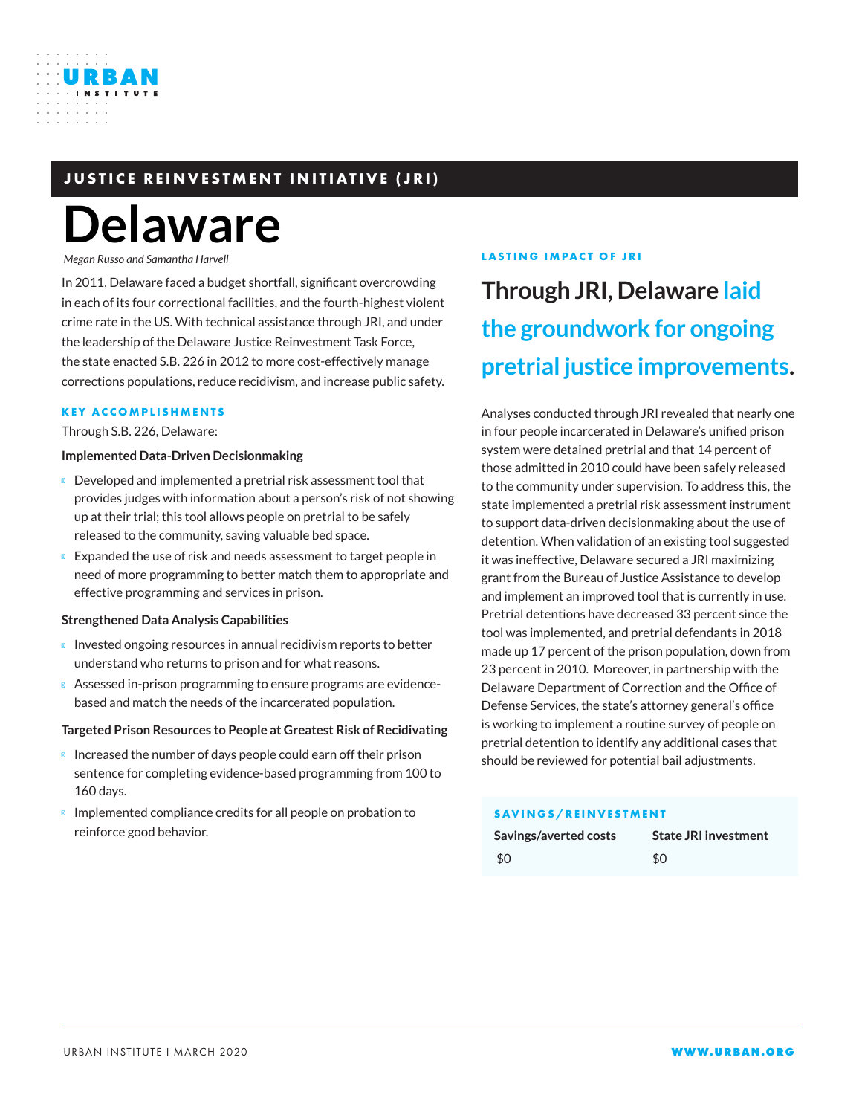# **JUSTICE REINVESTMENT INITIATIVE (JRI)**

# **Delaware**

*Megan Russo and Samantha Harvell*

URBAN

In 2011, Delaware faced a budget shortfall, significant overcrowding in each of its four correctional facilities, and the fourth-highest violent crime rate in the US. With technical assistance through JRI, and under the leadership of the Delaware Justice Reinvestment Task Force, the state enacted S.B. 226 in 2012 to more cost-effectively manage corrections populations, reduce recidivism, and increase public safety.

#### **KEY ACCOMPLISHMENTS**

Through S.B. 226, Delaware:

#### **Implemented Data-Driven Decisionmaking**

Developed and implemented a pretrial risk assessment tool that provides judges with information about a person's risk of not showing up at their trial; this tool allows people on pretrial to be safely released to the community, saving valuable bed space.

Expanded the use of risk and needs assessment to target people in need of more programming to better match them to appropriate and effective programming and services in prison.

#### **Strengthened Data Analysis Capabilities**

Invested ongoing resources in annual recidivism reports to better understand who returns to prison and for what reasons.

Assessed in-prison programming to ensure programs are evidencebased and match the needs of the incarcerated population.

#### **Targeted Prison Resources to People at Greatest Risk of Recidivating**

Increased the number of days people could earn off their prison sentence for completing evidence-based programming from 100 to 160 days.

Implemented compliance credits for all people on probation to reinforce good behavior.

#### **LASTING IMPACT OF JRI**

# **Through JRI, Delaware laid the groundwork for ongoing pretrial justice improvements.**

Analyses conducted through JRI revealed that nearly one in four people incarcerated in Delaware's unified prison system were detained pretrial and that 14 percent of those admitted in 2010 could have been safely released to the community under supervision. To address this, the state implemented a pretrial risk assessment instrument to support data-driven decisionmaking about the use of detention. When validation of an existing tool suggested it was ineffective, Delaware secured a JRI maximizing grant from the Bureau of Justice Assistance to develop and implement an improved tool that is currently in use. Pretrial detentions have decreased 33 percent since the tool was implemented, and pretrial defendants in 2018 made up 17 percent of the prison population, down from 23 percent in 2010. Moreover, in partnership with the Delaware Department of Correction and the Office of Defense Services, the state's attorney general's office is working to implement a routine survey of people on pretrial detention to identify any additional cases that should be reviewed for potential bail adjustments.

#### **SAVINGS/REINVESTMENT**

| Savings/averted costs | <b>State JRI investment</b> |
|-----------------------|-----------------------------|
| \$0                   | \$0                         |